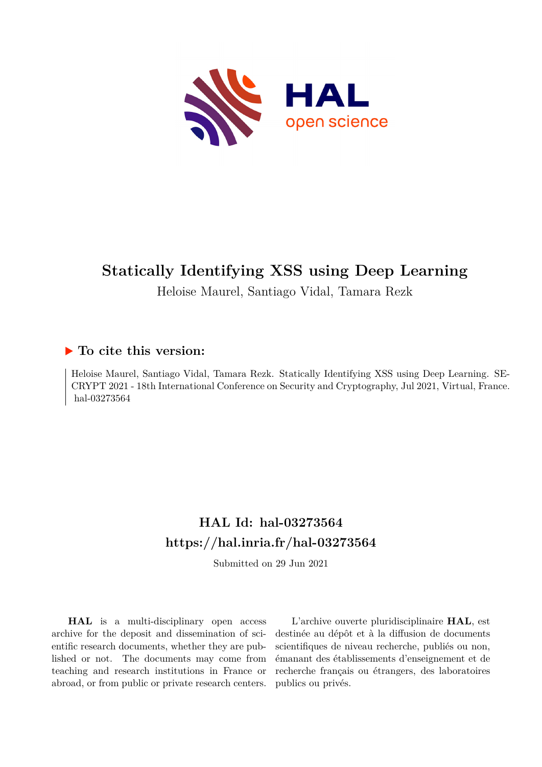

# **Statically Identifying XSS using Deep Learning**

Heloise Maurel, Santiago Vidal, Tamara Rezk

# **To cite this version:**

Heloise Maurel, Santiago Vidal, Tamara Rezk. Statically Identifying XSS using Deep Learning. SE-CRYPT 2021 - 18th International Conference on Security and Cryptography, Jul 2021, Virtual, France. hal-03273564

# **HAL Id: hal-03273564 <https://hal.inria.fr/hal-03273564>**

Submitted on 29 Jun 2021

**HAL** is a multi-disciplinary open access archive for the deposit and dissemination of scientific research documents, whether they are published or not. The documents may come from teaching and research institutions in France or abroad, or from public or private research centers.

L'archive ouverte pluridisciplinaire **HAL**, est destinée au dépôt et à la diffusion de documents scientifiques de niveau recherche, publiés ou non, émanant des établissements d'enseignement et de recherche français ou étrangers, des laboratoires publics ou privés.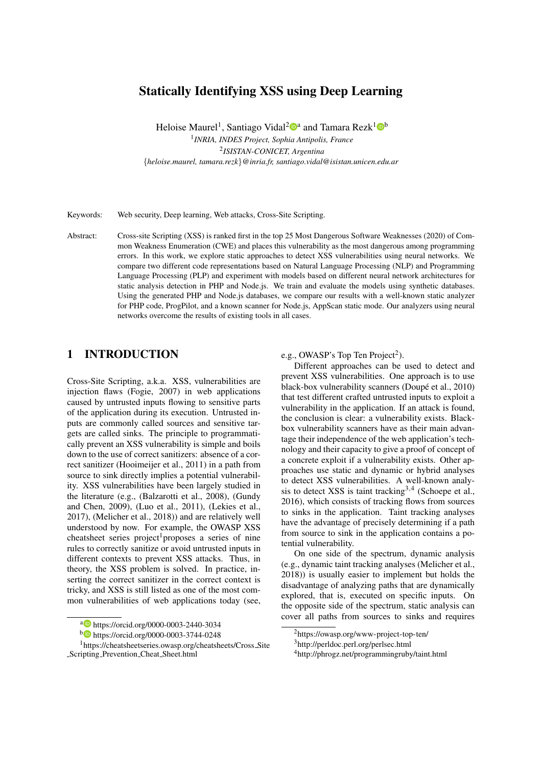# Statically Identifying XSS using Deep Learning

Heloise Maurel<sup>1</sup>, Santiago Vidal<sup>2</sup><sup>0</sup><sup>a</sup> and Tamara Rezk<sup>1</sup><sup>0</sup><sup>b</sup>

1 *INRIA, INDES Project, Sophia Antipolis, France* 2 *ISISTAN-CONICET, Argentina* {*heloise.maurel, tamara.rezk*}*@inria.fr, santiago.vidal@isistan.unicen.edu.ar*

Keywords: Web security, Deep learning, Web attacks, Cross-Site Scripting.

Abstract: Cross-site Scripting (XSS) is ranked first in the top 25 Most Dangerous Software Weaknesses (2020) of Common Weakness Enumeration (CWE) and places this vulnerability as the most dangerous among programming errors. In this work, we explore static approaches to detect XSS vulnerabilities using neural networks. We compare two different code representations based on Natural Language Processing (NLP) and Programming Language Processing (PLP) and experiment with models based on different neural network architectures for static analysis detection in PHP and Node.js. We train and evaluate the models using synthetic databases. Using the generated PHP and Node.js databases, we compare our results with a well-known static analyzer for PHP code, ProgPilot, and a known scanner for Node.js, AppScan static mode. Our analyzers using neural networks overcome the results of existing tools in all cases.

## 1 INTRODUCTION

Cross-Site Scripting, a.k.a. XSS, vulnerabilities are injection flaws (Fogie, 2007) in web applications caused by untrusted inputs flowing to sensitive parts of the application during its execution. Untrusted inputs are commonly called sources and sensitive targets are called sinks. The principle to programmatically prevent an XSS vulnerability is simple and boils down to the use of correct sanitizers: absence of a correct sanitizer (Hooimeijer et al., 2011) in a path from source to sink directly implies a potential vulnerability. XSS vulnerabilities have been largely studied in the literature (e.g., (Balzarotti et al., 2008), (Gundy and Chen, 2009), (Luo et al., 2011), (Lekies et al., 2017), (Melicher et al., 2018)) and are relatively well understood by now. For example, the OWASP XSS cheatsheet series project<sup>1</sup> proposes a series of nine rules to correctly sanitize or avoid untrusted inputs in different contexts to prevent XSS attacks. Thus, in theory, the XSS problem is solved. In practice, inserting the correct sanitizer in the correct context is tricky, and XSS is still listed as one of the most common vulnerabilities of web applications today (see,

#### e.g., OWASP's Top Ten Project<sup>2</sup>).

Different approaches can be used to detect and prevent XSS vulnerabilities. One approach is to use black-box vulnerability scanners (Doupé et al., 2010) that test different crafted untrusted inputs to exploit a vulnerability in the application. If an attack is found, the conclusion is clear: a vulnerability exists. Blackbox vulnerability scanners have as their main advantage their independence of the web application's technology and their capacity to give a proof of concept of a concrete exploit if a vulnerability exists. Other approaches use static and dynamic or hybrid analyses to detect XSS vulnerabilities. A well-known analysis to detect XSS is taint tracking<sup>3,4</sup> (Schoepe et al., 2016), which consists of tracking flows from sources to sinks in the application. Taint tracking analyses have the advantage of precisely determining if a path from source to sink in the application contains a potential vulnerability.

On one side of the spectrum, dynamic analysis (e.g., dynamic taint tracking analyses (Melicher et al., 2018)) is usually easier to implement but holds the disadvantage of analyzing paths that are dynamically explored, that is, executed on specific inputs. On the opposite side of the spectrum, static analysis can cover all paths from sources to sinks and requires

<sup>a</sup> https://orcid.org/0000-0003-2440-3034

<sup>b</sup> https://orcid.org/0000-0003-3744-0248

<sup>1</sup>https://cheatsheetseries.owasp.org/cheatsheets/Cross Site Scripting Prevention Cheat Sheet.html

<sup>2</sup>https://owasp.org/www-project-top-ten/

<sup>3</sup>http://perldoc.perl.org/perlsec.html

<sup>4</sup>http://phrogz.net/programmingruby/taint.html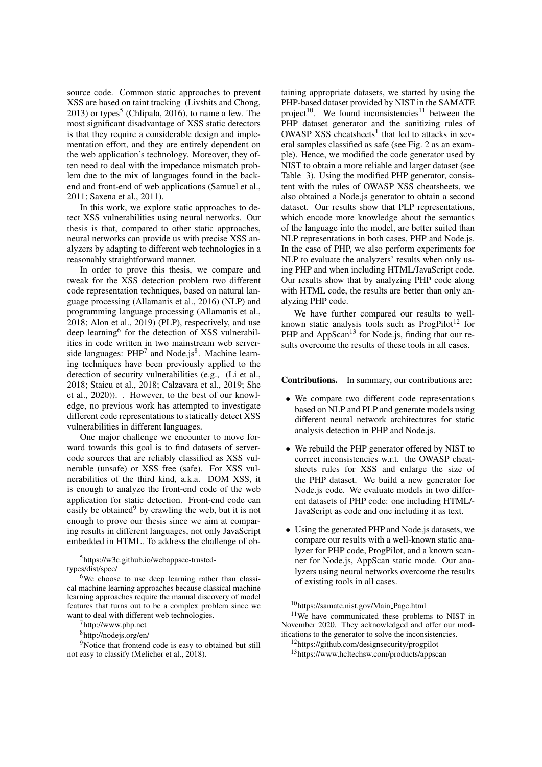source code. Common static approaches to prevent XSS are based on taint tracking (Livshits and Chong,  $2013$ ) or types<sup>5</sup> (Chlipala, 2016), to name a few. The most significant disadvantage of XSS static detectors is that they require a considerable design and implementation effort, and they are entirely dependent on the web application's technology. Moreover, they often need to deal with the impedance mismatch problem due to the mix of languages found in the backend and front-end of web applications (Samuel et al., 2011; Saxena et al., 2011).

In this work, we explore static approaches to detect XSS vulnerabilities using neural networks. Our thesis is that, compared to other static approaches, neural networks can provide us with precise XSS analyzers by adapting to different web technologies in a reasonably straightforward manner.

In order to prove this thesis, we compare and tweak for the XSS detection problem two different code representation techniques, based on natural language processing (Allamanis et al., 2016) (NLP) and programming language processing (Allamanis et al., 2018; Alon et al., 2019) (PLP), respectively, and use deep learning<sup>6</sup> for the detection of XSS vulnerabilities in code written in two mainstream web serverside languages: PHP<sup>7</sup> and Node.js<sup>8</sup>. Machine learning techniques have been previously applied to the detection of security vulnerabilities (e.g., (Li et al., 2018; Staicu et al., 2018; Calzavara et al., 2019; She et al., 2020)). . However, to the best of our knowledge, no previous work has attempted to investigate different code representations to statically detect XSS vulnerabilities in different languages.

One major challenge we encounter to move forward towards this goal is to find datasets of servercode sources that are reliably classified as XSS vulnerable (unsafe) or XSS free (safe). For XSS vulnerabilities of the third kind, a.k.a. DOM XSS, it is enough to analyze the front-end code of the web application for static detection. Front-end code can easily be obtained $9$  by crawling the web, but it is not enough to prove our thesis since we aim at comparing results in different languages, not only JavaScript embedded in HTML. To address the challenge of ob-

<sup>5</sup>https://w3c.github.io/webappsec-trustedtypes/dist/spec/

taining appropriate datasets, we started by using the PHP-based dataset provided by NIST in the SAMATE project<sup>10</sup>. We found inconsistencies<sup>11</sup> between the PHP dataset generator and the sanitizing rules of OWASP XSS cheatsheets<sup>1</sup> that led to attacks in several samples classified as safe (see Fig. 2 as an example). Hence, we modified the code generator used by NIST to obtain a more reliable and larger dataset (see Table 3). Using the modified PHP generator, consistent with the rules of OWASP XSS cheatsheets, we also obtained a Node.js generator to obtain a second dataset. Our results show that PLP representations, which encode more knowledge about the semantics of the language into the model, are better suited than NLP representations in both cases, PHP and Node.js. In the case of PHP, we also perform experiments for NLP to evaluate the analyzers' results when only using PHP and when including HTML/JavaScript code. Our results show that by analyzing PHP code along with HTML code, the results are better than only analyzing PHP code.

We have further compared our results to wellknown static analysis tools such as  $ProgPilot<sup>12</sup>$  for PHP and AppScan<sup>13</sup> for Node.js, finding that our results overcome the results of these tools in all cases.

Contributions. In summary, our contributions are:

- We compare two different code representations based on NLP and PLP and generate models using different neural network architectures for static analysis detection in PHP and Node.js.
- We rebuild the PHP generator offered by NIST to correct inconsistencies w.r.t. the OWASP cheatsheets rules for XSS and enlarge the size of the PHP dataset. We build a new generator for Node.js code. We evaluate models in two different datasets of PHP code: one including HTML/- JavaScript as code and one including it as text.
- Using the generated PHP and Node.js datasets, we compare our results with a well-known static analyzer for PHP code, ProgPilot, and a known scanner for Node.js, AppScan static mode. Our analyzers using neural networks overcome the results of existing tools in all cases.

<sup>6</sup>We choose to use deep learning rather than classical machine learning approaches because classical machine learning approaches require the manual discovery of model features that turns out to be a complex problem since we want to deal with different web technologies.

 $7$ http://www.php.net

<sup>8</sup>http://nodejs.org/en/

<sup>&</sup>lt;sup>9</sup>Notice that frontend code is easy to obtained but still not easy to classify (Melicher et al., 2018).

<sup>10</sup>https://samate.nist.gov/Main Page.html <sup>11</sup>We have communicated these problems to NIST in November 2020. They acknowledged and offer our modifications to the generator to solve the inconsistencies.

<sup>12</sup>https://github.com/designsecurity/progpilot <sup>13</sup>https://www.hcltechsw.com/products/appscan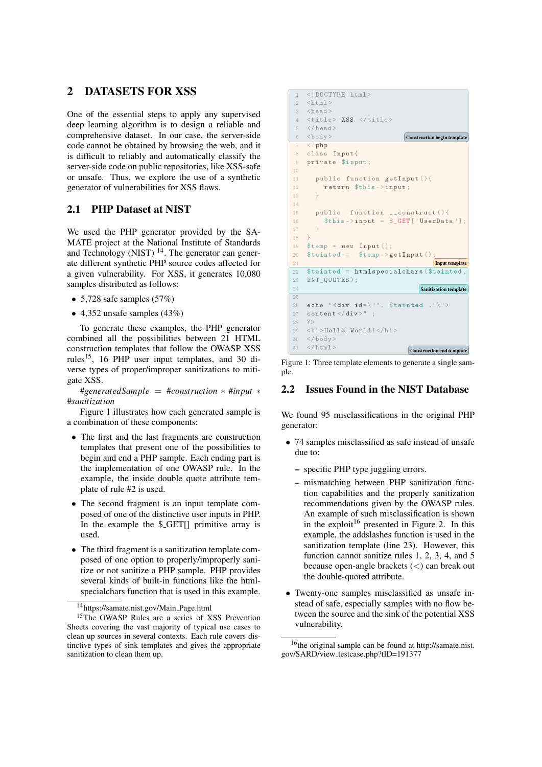## 2 DATASETS FOR XSS

One of the essential steps to apply any supervised deep learning algorithm is to design a reliable and comprehensive dataset. In our case, the server-side code cannot be obtained by browsing the web, and it is difficult to reliably and automatically classify the server-side code on public repositories, like XSS-safe or unsafe. Thus, we explore the use of a synthetic generator of vulnerabilities for XSS flaws.

#### 2.1 PHP Dataset at NIST

We used the PHP generator provided by the SA-MATE project at the National Institute of Standards and Technology (NIST)  $^{14}$ . The generator can generate different synthetic PHP source codes affected for a given vulnerability. For XSS, it generates 10,080 samples distributed as follows:

- 5,728 safe samples  $(57%)$
- 4,352 unsafe samples (43%)

To generate these examples, the PHP generator combined all the possibilities between 21 HTML construction templates that follow the OWASP XSS rules<sup>15</sup>, 16 PHP user input templates, and 30 diverse types of proper/improper sanitizations to mitigate XSS.

#*generatedSample* = #*construction* ∗ #*input* ∗ #*sanitization*

Figure 1 illustrates how each generated sample is a combination of these components:

- The first and the last fragments are construction templates that present one of the possibilities to begin and end a PHP sample. Each ending part is the implementation of one OWASP rule. In the example, the inside double quote attribute template of rule #2 is used.
- The second fragment is an input template composed of one of the distinctive user inputs in PHP. In the example the \$\_GET[] primitive array is used.
- The third fragment is a sanitization template composed of one option to properly/improperly sanitize or not sanitize a PHP sample. PHP provides several kinds of built-in functions like the htmlspecialchars function that is used in this example.

| 1              | html                                                                  |
|----------------|-----------------------------------------------------------------------|
| $\overline{2}$ | $<$ html>                                                             |
| $3 -$          | $<$ head $>$                                                          |
| $\overline{4}$ | $\langle \texttt{title} \rangle$ XSS $\langle \texttt{title} \rangle$ |
| 5              | $\langle$ /head>                                                      |
| 6              | <body><br/><b>Construction begin template</b></body>                  |
| $\overline{7}$ | $\langle$ ?php                                                        |
| 8              | class Input{                                                          |
| $\overline{9}$ | private \$input;                                                      |
| 10             |                                                                       |
| 11             | public function getInput(){                                           |
| 12             | return \$this->input;                                                 |
| 13             | ŀ                                                                     |
| 14             |                                                                       |
| 15             | public function __construct(){                                        |
| 16             | $$this -\text{input} = $GET['UserData']$ ;                            |
| 17             | $\rightarrow$                                                         |
| 18             | ł.                                                                    |
| 19             | $$temp = new Input()$ ;                                               |
| 20             | $$tainted = $temp->getInput()$ ;                                      |
| 21             | <b>Input template</b>                                                 |
| 22             | \$tainted = htmlspecialchars (\$tainted,                              |
| 23             | ENT_QUOTES);                                                          |
| 24             | <b>Sanitization template</b>                                          |
| 25             |                                                                       |
| 26             | echo " <div \$tainted="" ."\"="" id='\"".'></div>                     |
| 27             | content $\langle$ div $\rangle$ ":                                    |
| 28             | ?                                                                     |
| 29             | $\langle h1>He11o$ World! $\langle /h1>$                              |
|                | $30 \le \frac{\log x}{x}$                                             |
| 31             | $\langle$ /html><br><b>Construction end template</b>                  |

Figure 1: Three template elements to generate a single sample.

## 2.2 Issues Found in the NIST Database

We found 95 misclassifications in the original PHP generator:

- 74 samples misclassified as safe instead of unsafe due to:
	- specific PHP type juggling errors.
	- mismatching between PHP sanitization function capabilities and the properly sanitization recommendations given by the OWASP rules. An example of such misclassification is shown in the exploit<sup>16</sup> presented in Figure 2. In this example, the addslashes function is used in the sanitization template (line 23). However, this function cannot sanitize rules 1, 2, 3, 4, and 5 because open-angle brackets (<) can break out the double-quoted attribute.
- Twenty-one samples misclassified as unsafe instead of safe, especially samples with no flow between the source and the sink of the potential XSS vulnerability.

<sup>14</sup>https://samate.nist.gov/Main Page.html

<sup>&</sup>lt;sup>15</sup>The OWASP Rules are a series of XSS Prevention Sheets covering the vast majority of typical use cases to clean up sources in several contexts. Each rule covers distinctive types of sink templates and gives the appropriate sanitization to clean them up.

<sup>16</sup>the original sample can be found at http://samate.nist. gov/SARD/view testcase.php?tID=191377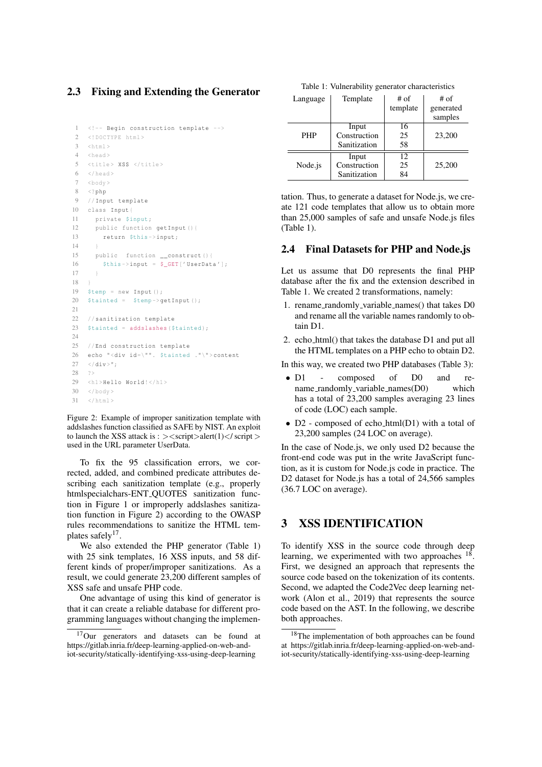### 2.3 Fixing and Extending the Generator

```
1 <!-- Begin construction template -->
2 <!DOCTYPE html >
3 \times \text{htm1}4 <head >
5 <title > XSS </title >
6 \le/head>
7 \timeshody >
8 <?php
9 // Input template
10 class Input{
11 private $input;
12 public function getInput (){
13 return $this ->input;
1415 public function __construct (){
16 $this \rightarrow input = $\_GET['UserData'];
17 }
18 }
19 $temp = new Input ();
20 $tained = $temp->getInput();
21
22 // sanitization template
23 $tainted = addslashes({$tainted)};2425 // End construction template
26 echo "<div id=\"". $tainted ."\">content
27 \times / \text{div} >":
28 ?>
29 <h1>Hello World!</h1>
30 \, </body>
31 \times / h + m1 >
```
Figure 2: Example of improper sanitization template with addslashes function classified as SAFE by NIST. An exploit to launch the XSS attack is :  $>\langle$ script $>\rangle$ alert(1) $\langle$ /script $>$ used in the URL parameter UserData.

To fix the 95 classification errors, we corrected, added, and combined predicate attributes describing each sanitization template (e.g., properly htmlspecialchars-ENT QUOTES sanitization function in Figure 1 or improperly addslashes sanitization function in Figure 2) according to the OWASP rules recommendations to sanitize the HTML templates safely<sup>17</sup>.

We also extended the PHP generator (Table 1) with 25 sink templates, 16 XSS inputs, and 58 different kinds of proper/improper sanitizations. As a result, we could generate 23,200 different samples of XSS safe and unsafe PHP code.

One advantage of using this kind of generator is that it can create a reliable database for different programming languages without changing the implemen-

| Table 1: Vulnerability generator characteristics |  |
|--------------------------------------------------|--|
|--------------------------------------------------|--|

| Language   | Template     | $#$ of   | $#$ of    |  |  |
|------------|--------------|----------|-----------|--|--|
|            |              | template | generated |  |  |
|            |              |          | samples   |  |  |
|            | Input        | 16       |           |  |  |
| <b>PHP</b> | Construction | 25       | 23,200    |  |  |
|            | Sanitization | 58       |           |  |  |
|            | Input        | 12       |           |  |  |
| Node.js    | Construction | 25       | 25,200    |  |  |
|            | Sanitization | 84       |           |  |  |

tation. Thus, to generate a dataset for Node.js, we create 121 code templates that allow us to obtain more than 25,000 samples of safe and unsafe Node.js files (Table 1).

#### 2.4 Final Datasets for PHP and Node.js

Let us assume that D0 represents the final PHP database after the fix and the extension described in Table 1. We created 2 transformations, namely:

- 1. rename randomly variable names() that takes D0 and rename all the variable names randomly to obtain D1.
- 2. echo html() that takes the database D1 and put all the HTML templates on a PHP echo to obtain D2.

In this way, we created two PHP databases (Table 3):

- D1 composed of D0 and rename\_randomly\_variable\_names(D0) which has a total of 23,200 samples averaging 23 lines of code (LOC) each sample.
- D2 composed of echo html(D1) with a total of 23,200 samples (24 LOC on average).

In the case of Node.js, we only used D2 because the front-end code was put in the write JavaScript function, as it is custom for Node.js code in practice. The D2 dataset for Node.js has a total of 24,566 samples (36.7 LOC on average).

## 3 XSS IDENTIFICATION

To identify XSS in the source code through deep learning, we experimented with two approaches  $18$ . First, we designed an approach that represents the source code based on the tokenization of its contents. Second, we adapted the Code2Vec deep learning network (Alon et al., 2019) that represents the source code based on the AST. In the following, we describe both approaches.

<sup>17</sup>Our generators and datasets can be found at https://gitlab.inria.fr/deep-learning-applied-on-web-andiot-security/statically-identifying-xss-using-deep-learning

<sup>18</sup>The implementation of both approaches can be found at https://gitlab.inria.fr/deep-learning-applied-on-web-andiot-security/statically-identifying-xss-using-deep-learning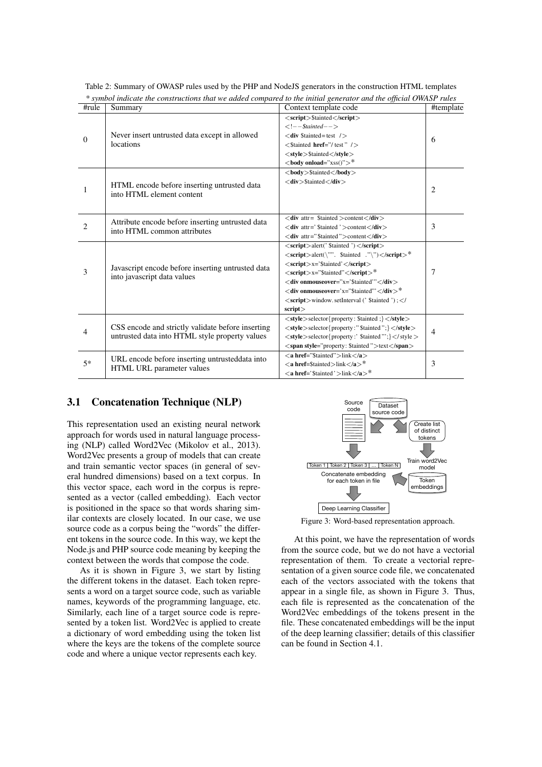| #rule          | Summary                                                                          | Context template code                                                                  | #template |  |  |
|----------------|----------------------------------------------------------------------------------|----------------------------------------------------------------------------------------|-----------|--|--|
|                |                                                                                  | <script>\$tainted</script>                                                             |           |  |  |
|                |                                                                                  | $\lt!$ ! $-$ -Stainted $-$ >                                                           |           |  |  |
| $\mathbf{0}$   | Never insert untrusted data except in allowed                                    | $\langle$ div \$tainted=test />                                                        | 6         |  |  |
|                | locations                                                                        | $\langle$ Stainted <b>href</b> ="/test" />                                             |           |  |  |
|                |                                                                                  | <style>\$tainted</style>                                                               |           |  |  |
|                |                                                                                  | $<$ body onload="xss()">*                                                              |           |  |  |
|                |                                                                                  | <br>body>\$tainted                                                                     |           |  |  |
|                | HTML encode before inserting untrusted data                                      | $<$ div > \$tainted $<$ /div >                                                         |           |  |  |
| 1              | into HTML element content                                                        |                                                                                        | 2         |  |  |
|                |                                                                                  |                                                                                        |           |  |  |
|                |                                                                                  | $\langle$ div attr= \$tainted > content $\langle$ /div>                                |           |  |  |
| $\overline{c}$ | Attribute encode before inserting untrusted data                                 | $\langle$ div attr=' \$tainted ' > content $\langle$ /div >                            | 3         |  |  |
|                | into HTML common attributes                                                      | <div attr="\$tainted">content</div>                                                    |           |  |  |
|                |                                                                                  | $\langle$ script $\rangle$ alert(' \$tainted ') $\langle$ /script $\rangle$            |           |  |  |
|                |                                                                                  | <script>alert(\''''. \$tainted .''\'')</script> *                                      |           |  |  |
|                | Javascript encode before inserting untrusted data<br>into javascript data values | $\langle$ script $\rangle$ x='\$tainted' $\langle$ /script $\rangle$                   |           |  |  |
| 3              |                                                                                  | $\langle \text{script} \rangle \times$ x="\$tainted" $\langle \text{script} \rangle^*$ |           |  |  |
|                |                                                                                  | <div <="" div="" onmouseover="x='\$tainted'"></div>                                    |           |  |  |
|                |                                                                                  | $\langle$ div onmouseover='x="\$tainted"' $\langle$ /div $\rangle^*$                   |           |  |  |
|                |                                                                                  | <script></script>                                                                      |           |  |  |

Table 2: Summary of OWASP rules used by the PHP and NodeJS generators in the construction HTML templates *\* symbol indicate the constructions that we added compared to the initial generator and the official OWASP rules*

## 3.1 Concatenation Technique (NLP)

This representation used an existing neural network approach for words used in natural language processing (NLP) called Word2Vec (Mikolov et al., 2013). Word2Vec presents a group of models that can create and train semantic vector spaces (in general of several hundred dimensions) based on a text corpus. In this vector space, each word in the corpus is represented as a vector (called embedding). Each vector is positioned in the space so that words sharing similar contexts are closely located. In our case, we use source code as a corpus being the "words" the different tokens in the source code. In this way, we kept the Node.js and PHP source code meaning by keeping the context between the words that compose the code.

As it is shown in Figure 3, we start by listing the different tokens in the dataset. Each token represents a word on a target source code, such as variable names, keywords of the programming language, etc. Similarly, each line of a target source code is represented by a token list. Word2Vec is applied to create a dictionary of word embedding using the token list where the keys are the tokens of the complete source code and where a unique vector represents each key.



Figure 3: Word-based representation approach.

At this point, we have the representation of words from the source code, but we do not have a vectorial representation of them. To create a vectorial representation of a given source code file, we concatenated each of the vectors associated with the tokens that appear in a single file, as shown in Figure 3. Thus, each file is represented as the concatenation of the Word2Vec embeddings of the tokens present in the file. These concatenated embeddings will be the input of the deep learning classifier; details of this classifier can be found in Section 4.1.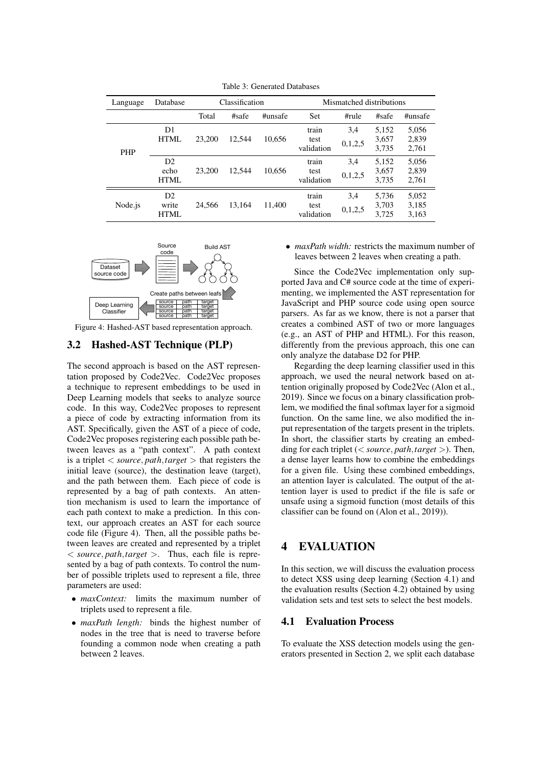| Language   | Database                   |                | Classification   |         | Mismatched distributions    |                |                         |                         |  |  |
|------------|----------------------------|----------------|------------------|---------|-----------------------------|----------------|-------------------------|-------------------------|--|--|
|            |                            | Total<br>#safe |                  | #unsafe | <b>Set</b>                  | #rule          | #safe                   | #unsafe                 |  |  |
| <b>PHP</b> | D1<br>HTML                 | 23,200         | 12.544<br>10,656 |         | train<br>test<br>validation | 3,4<br>0,1,2,5 | 5,152<br>3,657<br>3,735 | 5,056<br>2,839<br>2,761 |  |  |
|            | D2<br>echo<br>HTML         | 23,200         | 12.544           | 10.656  | train<br>test<br>validation | 3.4<br>0,1,2,5 | 5.152<br>3,657<br>3.735 | 5,056<br>2.839<br>2,761 |  |  |
| Node.js    | D2<br>write<br><b>HTML</b> | 24.566         | 13.164           | 11.400  | train<br>test<br>validation | 3,4<br>0,1,2,5 | 5,736<br>3,703<br>3.725 | 5,052<br>3,185<br>3,163 |  |  |

Table 3: Generated Databases



Figure 4: Hashed-AST based representation approach.

#### 3.2 Hashed-AST Technique (PLP)

The second approach is based on the AST representation proposed by Code2Vec. Code2Vec proposes a technique to represent embeddings to be used in Deep Learning models that seeks to analyze source code. In this way, Code2Vec proposes to represent a piece of code by extracting information from its AST. Specifically, given the AST of a piece of code, Code2Vec proposes registering each possible path between leaves as a "path context". A path context is a triplet < *source*, *path*,*target* > that registers the initial leave (source), the destination leave (target), and the path between them. Each piece of code is represented by a bag of path contexts. An attention mechanism is used to learn the importance of each path context to make a prediction. In this context, our approach creates an AST for each source code file (Figure 4). Then, all the possible paths between leaves are created and represented by a triplet < *source*, *path*,*target* >. Thus, each file is represented by a bag of path contexts. To control the number of possible triplets used to represent a file, three parameters are used:

- *maxContext:* limits the maximum number of triplets used to represent a file.
- *maxPath length:* binds the highest number of nodes in the tree that is need to traverse before founding a common node when creating a path between 2 leaves.

• *maxPath width:* restricts the maximum number of leaves between 2 leaves when creating a path.

Since the Code2Vec implementation only supported Java and C# source code at the time of experimenting, we implemented the AST representation for JavaScript and PHP source code using open source parsers. As far as we know, there is not a parser that creates a combined AST of two or more languages (e.g., an AST of PHP and HTML). For this reason, differently from the previous approach, this one can only analyze the database D2 for PHP.

Regarding the deep learning classifier used in this approach, we used the neural network based on attention originally proposed by Code2Vec (Alon et al., 2019). Since we focus on a binary classification problem, we modified the final softmax layer for a sigmoid function. On the same line, we also modified the input representation of the targets present in the triplets. In short, the classifier starts by creating an embedding for each triplet (< *source*, *path*,*target* >). Then, a dense layer learns how to combine the embeddings for a given file. Using these combined embeddings, an attention layer is calculated. The output of the attention layer is used to predict if the file is safe or unsafe using a sigmoid function (most details of this classifier can be found on (Alon et al., 2019)).

## 4 EVALUATION

In this section, we will discuss the evaluation process to detect XSS using deep learning (Section 4.1) and the evaluation results (Section 4.2) obtained by using validation sets and test sets to select the best models.

#### 4.1 Evaluation Process

To evaluate the XSS detection models using the generators presented in Section 2, we split each database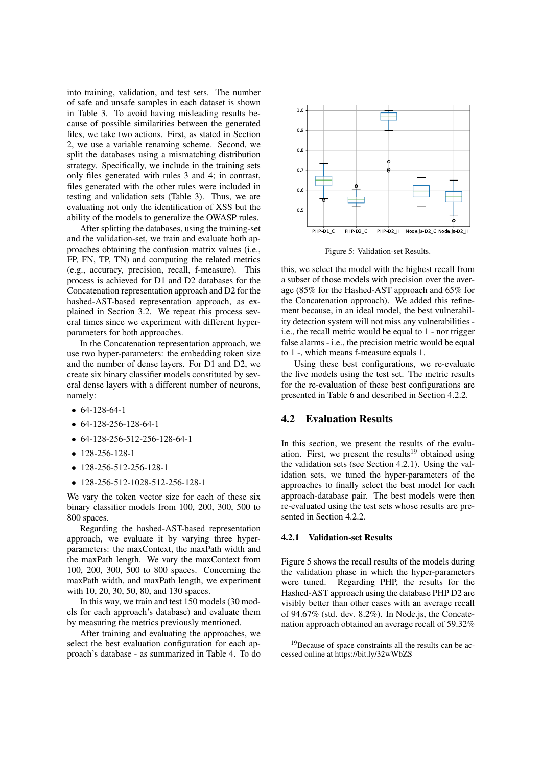into training, validation, and test sets. The number of safe and unsafe samples in each dataset is shown in Table 3. To avoid having misleading results because of possible similarities between the generated files, we take two actions. First, as stated in Section 2, we use a variable renaming scheme. Second, we split the databases using a mismatching distribution strategy. Specifically, we include in the training sets only files generated with rules 3 and 4; in contrast, files generated with the other rules were included in testing and validation sets (Table 3). Thus, we are evaluating not only the identification of XSS but the ability of the models to generalize the OWASP rules.

After splitting the databases, using the training-set and the validation-set, we train and evaluate both approaches obtaining the confusion matrix values (i.e., FP, FN, TP, TN) and computing the related metrics (e.g., accuracy, precision, recall, f-measure). This process is achieved for D1 and D2 databases for the Concatenation representation approach and D2 for the hashed-AST-based representation approach, as explained in Section 3.2. We repeat this process several times since we experiment with different hyperparameters for both approaches.

In the Concatenation representation approach, we use two hyper-parameters: the embedding token size and the number of dense layers. For D1 and D2, we create six binary classifier models constituted by several dense layers with a different number of neurons, namely:

- 64-128-64-1
- 64-128-256-128-64-1
- 64-128-256-512-256-128-64-1
- 128-256-128-1
- 128-256-512-256-128-1
- 128-256-512-1028-512-256-128-1

We vary the token vector size for each of these six binary classifier models from 100, 200, 300, 500 to 800 spaces.

Regarding the hashed-AST-based representation approach, we evaluate it by varying three hyperparameters: the maxContext, the maxPath width and the maxPath length. We vary the maxContext from 100, 200, 300, 500 to 800 spaces. Concerning the maxPath width, and maxPath length, we experiment with 10, 20, 30, 50, 80, and 130 spaces.

In this way, we train and test 150 models (30 models for each approach's database) and evaluate them by measuring the metrics previously mentioned.

After training and evaluating the approaches, we select the best evaluation configuration for each approach's database - as summarized in Table 4. To do



Figure 5: Validation-set Results.

this, we select the model with the highest recall from a subset of those models with precision over the average (85% for the Hashed-AST approach and 65% for the Concatenation approach). We added this refinement because, in an ideal model, the best vulnerability detection system will not miss any vulnerabilities i.e., the recall metric would be equal to 1 - nor trigger false alarms - i.e., the precision metric would be equal to 1 -, which means f-measure equals 1.

Using these best configurations, we re-evaluate the five models using the test set. The metric results for the re-evaluation of these best configurations are presented in Table 6 and described in Section 4.2.2.

#### 4.2 Evaluation Results

In this section, we present the results of the evaluation. First, we present the results<sup>19</sup> obtained using the validation sets (see Section 4.2.1). Using the validation sets, we tuned the hyper-parameters of the approaches to finally select the best model for each approach-database pair. The best models were then re-evaluated using the test sets whose results are presented in Section 4.2.2.

#### 4.2.1 Validation-set Results

Figure 5 shows the recall results of the models during the validation phase in which the hyper-parameters were tuned. Regarding PHP, the results for the Hashed-AST approach using the database PHP D2 are visibly better than other cases with an average recall of 94.67% (std. dev. 8.2%). In Node.js, the Concatenation approach obtained an average recall of 59.32%

<sup>&</sup>lt;sup>19</sup>Because of space constraints all the results can be accessed online at https://bit.ly/32wWbZS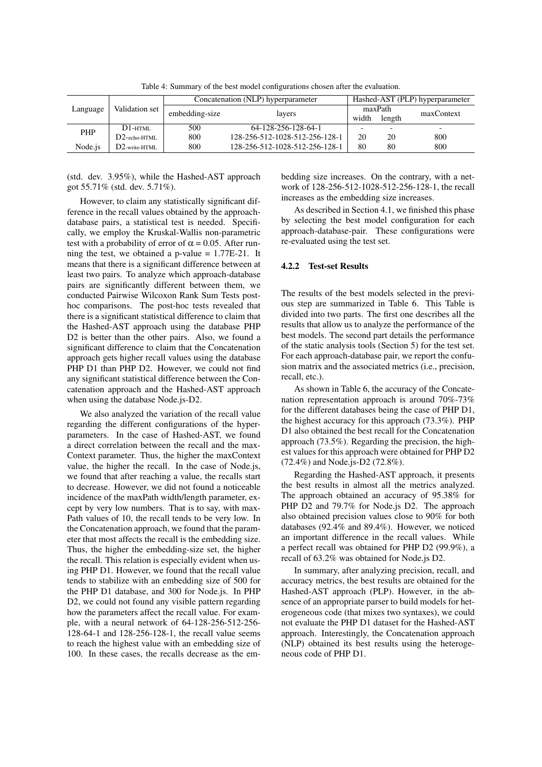|            |                  |                | Concatenation (NLP) hyperparameter | Hashed-AST (PLP) hyperparameter |        |                          |  |
|------------|------------------|----------------|------------------------------------|---------------------------------|--------|--------------------------|--|
| Language   | Validation set   | embedding-size | lavers                             | maxPath                         |        | maxContext               |  |
|            |                  |                |                                    | width                           | length |                          |  |
| <b>PHP</b> | $DI$ -html       | 500            | 64-128-256-128-64-1                |                                 | -      | $\overline{\phantom{0}}$ |  |
|            | $D2$ -echo-HTML  | 800            | 128-256-512-1028-512-256-128-1     | 20                              | 20     | 800                      |  |
| Node is    | $D2$ -write-HTML | 800            | 128-256-512-1028-512-256-128-1     | 80                              | 80     | 800                      |  |

Table 4: Summary of the best model configurations chosen after the evaluation.

(std. dev. 3.95%), while the Hashed-AST approach got 55.71% (std. dev. 5.71%).

However, to claim any statistically significant difference in the recall values obtained by the approachdatabase pairs, a statistical test is needed. Specifically, we employ the Kruskal-Wallis non-parametric test with a probability of error of  $\alpha = 0.05$ . After running the test, we obtained a p-value  $= 1.77E-21$ . It means that there is a significant difference between at least two pairs. To analyze which approach-database pairs are significantly different between them, we conducted Pairwise Wilcoxon Rank Sum Tests posthoc comparisons. The post-hoc tests revealed that there is a significant statistical difference to claim that the Hashed-AST approach using the database PHP D2 is better than the other pairs. Also, we found a significant difference to claim that the Concatenation approach gets higher recall values using the database PHP D1 than PHP D2. However, we could not find any significant statistical difference between the Concatenation approach and the Hashed-AST approach when using the database Node.js-D2.

We also analyzed the variation of the recall value regarding the different configurations of the hyperparameters. In the case of Hashed-AST, we found a direct correlation between the recall and the max-Context parameter. Thus, the higher the maxContext value, the higher the recall. In the case of Node.js, we found that after reaching a value, the recalls start to decrease. However, we did not found a noticeable incidence of the maxPath width/length parameter, except by very low numbers. That is to say, with max-Path values of 10, the recall tends to be very low. In the Concatenation approach, we found that the parameter that most affects the recall is the embedding size. Thus, the higher the embedding-size set, the higher the recall. This relation is especially evident when using PHP D1. However, we found that the recall value tends to stabilize with an embedding size of 500 for the PHP D1 database, and 300 for Node.js. In PHP D2, we could not found any visible pattern regarding how the parameters affect the recall value. For example, with a neural network of 64-128-256-512-256- 128-64-1 and 128-256-128-1, the recall value seems to reach the highest value with an embedding size of 100. In these cases, the recalls decrease as the embedding size increases. On the contrary, with a network of 128-256-512-1028-512-256-128-1, the recall increases as the embedding size increases.

As described in Section 4.1, we finished this phase by selecting the best model configuration for each approach-database-pair. These configurations were re-evaluated using the test set.

#### 4.2.2 Test-set Results

The results of the best models selected in the previous step are summarized in Table 6. This Table is divided into two parts. The first one describes all the results that allow us to analyze the performance of the best models. The second part details the performance of the static analysis tools (Section 5) for the test set. For each approach-database pair, we report the confusion matrix and the associated metrics (i.e., precision, recall, etc.).

As shown in Table 6, the accuracy of the Concatenation representation approach is around 70%-73% for the different databases being the case of PHP D1, the highest accuracy for this approach (73.3%). PHP D1 also obtained the best recall for the Concatenation approach (73.5%). Regarding the precision, the highest values for this approach were obtained for PHP D2 (72.4%) and Node.js-D2 (72.8%).

Regarding the Hashed-AST approach, it presents the best results in almost all the metrics analyzed. The approach obtained an accuracy of 95.38% for PHP D2 and 79.7% for Node.js D2. The approach also obtained precision values close to 90% for both databases (92.4% and 89.4%). However, we noticed an important difference in the recall values. While a perfect recall was obtained for PHP D2 (99.9%), a recall of 63.2% was obtained for Node.js D2.

In summary, after analyzing precision, recall, and accuracy metrics, the best results are obtained for the Hashed-AST approach (PLP). However, in the absence of an appropriate parser to build models for heterogeneous code (that mixes two syntaxes), we could not evaluate the PHP D1 dataset for the Hashed-AST approach. Interestingly, the Concatenation approach (NLP) obtained its best results using the heterogeneous code of PHP D1.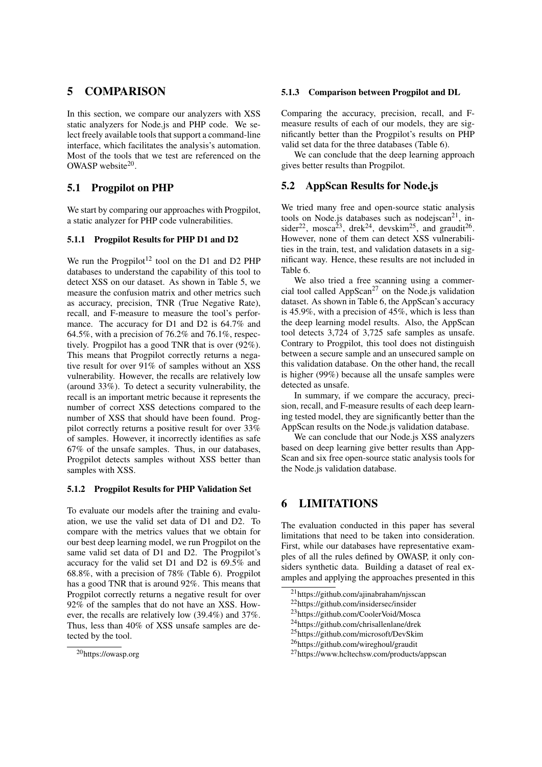## 5 COMPARISON

In this section, we compare our analyzers with XSS static analyzers for Node.js and PHP code. We select freely available tools that support a command-line interface, which facilitates the analysis's automation. Most of the tools that we test are referenced on the OWASP website $20$ .

## 5.1 Progpilot on PHP

We start by comparing our approaches with Progpilot, a static analyzer for PHP code vulnerabilities.

#### 5.1.1 Progpilot Results for PHP D1 and D2

We run the Progpilot<sup>12</sup> tool on the D1 and D2 PHP databases to understand the capability of this tool to detect XSS on our dataset. As shown in Table 5, we measure the confusion matrix and other metrics such as accuracy, precision, TNR (True Negative Rate), recall, and F-measure to measure the tool's performance. The accuracy for D1 and D2 is 64.7% and 64.5%, with a precision of 76.2% and 76.1%, respectively. Progpilot has a good TNR that is over (92%). This means that Progpilot correctly returns a negative result for over 91% of samples without an XSS vulnerability. However, the recalls are relatively low (around 33%). To detect a security vulnerability, the recall is an important metric because it represents the number of correct XSS detections compared to the number of XSS that should have been found. Progpilot correctly returns a positive result for over 33% of samples. However, it incorrectly identifies as safe 67% of the unsafe samples. Thus, in our databases, Progpilot detects samples without XSS better than samples with XSS.

#### 5.1.2 Progpilot Results for PHP Validation Set

To evaluate our models after the training and evaluation, we use the valid set data of D1 and D2. To compare with the metrics values that we obtain for our best deep learning model, we run Progpilot on the same valid set data of D1 and D2. The Progpilot's accuracy for the valid set D1 and D2 is 69.5% and 68.8%, with a precision of 78% (Table 6). Progpilot has a good TNR that is around 92%. This means that Progpilot correctly returns a negative result for over 92% of the samples that do not have an XSS. However, the recalls are relatively low (39.4%) and 37%. Thus, less than 40% of XSS unsafe samples are detected by the tool.

#### 5.1.3 Comparison between Progpilot and DL

Comparing the accuracy, precision, recall, and Fmeasure results of each of our models, they are significantly better than the Progpilot's results on PHP valid set data for the three databases (Table 6).

We can conclude that the deep learning approach gives better results than Progpilot.

### 5.2 AppScan Results for Node.js

We tried many free and open-source static analysis tools on Node.js databases such as nodejscan $21$ , insider<sup>22</sup>, mosca<sup>23</sup>, drek<sup>24</sup>, devskim<sup>25</sup>, and graudit<sup>26</sup>. However, none of them can detect XSS vulnerabilities in the train, test, and validation datasets in a significant way. Hence, these results are not included in Table 6.

We also tried a free scanning using a commercial tool called AppScan<sup>27</sup> on the Node.js validation dataset. As shown in Table 6, the AppScan's accuracy is 45.9%, with a precision of 45%, which is less than the deep learning model results. Also, the AppScan tool detects 3,724 of 3,725 safe samples as unsafe. Contrary to Progpilot, this tool does not distinguish between a secure sample and an unsecured sample on this validation database. On the other hand, the recall is higher (99%) because all the unsafe samples were detected as unsafe.

In summary, if we compare the accuracy, precision, recall, and F-measure results of each deep learning tested model, they are significantly better than the AppScan results on the Node.js validation database.

We can conclude that our Node.js XSS analyzers based on deep learning give better results than App-Scan and six free open-source static analysis tools for the Node.js validation database.

## 6 LIMITATIONS

The evaluation conducted in this paper has several limitations that need to be taken into consideration. First, while our databases have representative examples of all the rules defined by OWASP, it only considers synthetic data. Building a dataset of real examples and applying the approaches presented in this

<sup>20</sup>https://owasp.org

<sup>21</sup>https://github.com/ajinabraham/njsscan

<sup>22</sup>https://github.com/insidersec/insider

<sup>23</sup>https://github.com/CoolerVoid/Mosca

<sup>24</sup>https://github.com/chrisallenlane/drek

<sup>25</sup>https://github.com/microsoft/DevSkim

<sup>26</sup>https://github.com/wireghoul/graudit

<sup>27</sup>https://www.hcltechsw.com/products/appscan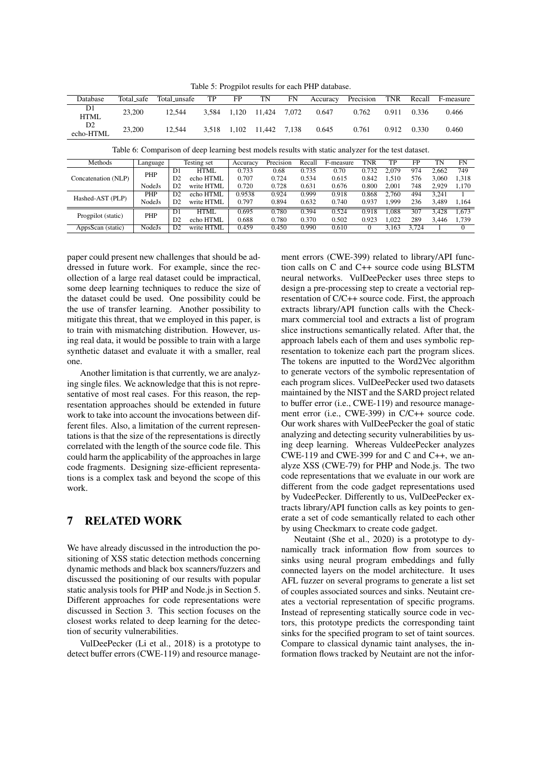Table 5: Progpilot results for each PHP database.

| Database                                                                                            | Total_safe |                  |  | Total_unsafe   | TP          | FP       | TN     | FN        |        | Accuracy  | Precision    | <b>TNR</b> | Recall |       | F-measure |
|-----------------------------------------------------------------------------------------------------|------------|------------------|--|----------------|-------------|----------|--------|-----------|--------|-----------|--------------|------------|--------|-------|-----------|
| D1<br><b>HTML</b>                                                                                   | 23,200     |                  |  | 12.544         | 3,584       | 1,120    | 11.424 | 7,072     |        | 0.647     | 0.762        | 0.911      | 0.336  |       | 0.466     |
| D <sub>2</sub><br>echo-HTML                                                                         |            | 23,200<br>12.544 |  | 3.518          | 1.102       | 11.442   | 7.138  |           | 0.645  | 0.761     | 0.912        | 0.330      |        | 0.460 |           |
| Table 6: Comparison of deep learning best models results with static analyzer for the test dataset. |            |                  |  |                |             |          |        |           |        |           |              |            |        |       |           |
| Methods                                                                                             |            | Language         |  |                | Testing set | Accuracy |        | Precision | Recall | F-measure | <b>TNR</b>   | TP         | FP     | TN    | <b>FN</b> |
|                                                                                                     |            | PHP              |  | D <sub>1</sub> | <b>HTML</b> | 0.733    |        | 0.68      | 0.735  | 0.70      | 0.732        | 2.079      | 974    | 2.662 | 749       |
| Concatenation (NLP)                                                                                 |            |                  |  | D2             | echo HTML   | 0.707    | 0.724  |           | 0.534  | 0.615     | 0.842        | 1.510      | 576    | 3.060 | 1,318     |
|                                                                                                     |            | NodeJs           |  | D2             | write HTML  | 0.720    | 0.728  |           | 0.631  | 0.676     | 0.800        | 2.001      | 748    | 2.929 | 1,170     |
| Hashed-AST (PLP)                                                                                    |            | <b>PHP</b>       |  | D2             | echo HTML   | 0.9538   |        | 0.924     | 0.999  | 0.918     | 0.868        | 2.760      | 494    | 3.241 |           |
|                                                                                                     |            | NodeJs           |  | D <sub>2</sub> | write HTML  | 0.797    |        | 0.894     | 0.632  | 0.740     | 0.937        | 1.999      | 236    | 3,489 | 1,164     |
|                                                                                                     |            |                  |  | D <sub>1</sub> | HTML        | 0.695    |        | 0.780     | 0.394  | 0.524     | 0.918        | 1.088      | 307    | 3.428 | 1.673     |
| Progpilot (static)                                                                                  |            | PHP              |  | D2             | echo HTML   | 0.688    | 0.780  |           | 0.370  | 0.502     | 0.923        | 1.022      | 289    | 3.446 | 1.739     |
| AppsScan (static)                                                                                   |            | NodeJs           |  | D2             | write HTML  | 0.459    | 0.450  |           | 0.990  | 0.610     | $\mathbf{0}$ | 3,163      | 3.724  |       | $\Omega$  |

paper could present new challenges that should be addressed in future work. For example, since the recollection of a large real dataset could be impractical, some deep learning techniques to reduce the size of the dataset could be used. One possibility could be the use of transfer learning. Another possibility to mitigate this threat, that we employed in this paper, is to train with mismatching distribution. However, using real data, it would be possible to train with a large synthetic dataset and evaluate it with a smaller, real one.

Another limitation is that currently, we are analyzing single files. We acknowledge that this is not representative of most real cases. For this reason, the representation approaches should be extended in future work to take into account the invocations between different files. Also, a limitation of the current representations is that the size of the representations is directly correlated with the length of the source code file. This could harm the applicability of the approaches in large code fragments. Designing size-efficient representations is a complex task and beyond the scope of this work.

## 7 RELATED WORK

We have already discussed in the introduction the positioning of XSS static detection methods concerning dynamic methods and black box scanners/fuzzers and discussed the positioning of our results with popular static analysis tools for PHP and Node.js in Section 5. Different approaches for code representations were discussed in Section 3. This section focuses on the closest works related to deep learning for the detection of security vulnerabilities.

VulDeePecker (Li et al., 2018) is a prototype to detect buffer errors (CWE-119) and resource manage-

ment errors (CWE-399) related to library/API function calls on C and C++ source code using BLSTM neural networks. VulDeePecker uses three steps to design a pre-processing step to create a vectorial representation of C/C++ source code. First, the approach extracts library/API function calls with the Checkmarx commercial tool and extracts a list of program slice instructions semantically related. After that, the approach labels each of them and uses symbolic representation to tokenize each part the program slices. The tokens are inputted to the Word2Vec algorithm to generate vectors of the symbolic representation of each program slices. VulDeePecker used two datasets maintained by the NIST and the SARD project related to buffer error (i.e., CWE-119) and resource management error (i.e., CWE-399) in C/C++ source code. Our work shares with VulDeePecker the goal of static analyzing and detecting security vulnerabilities by using deep learning. Whereas VuldeePecker analyzes CWE-119 and CWE-399 for and C and C++, we analyze XSS (CWE-79) for PHP and Node.js. The two code representations that we evaluate in our work are different from the code gadget representations used by VudeePecker. Differently to us, VulDeePecker extracts library/API function calls as key points to generate a set of code semantically related to each other by using Checkmarx to create code gadget.

Neutaint (She et al., 2020) is a prototype to dynamically track information flow from sources to sinks using neural program embeddings and fully connected layers on the model architecture. It uses AFL fuzzer on several programs to generate a list set of couples associated sources and sinks. Neutaint creates a vectorial representation of specific programs. Instead of representing statically source code in vectors, this prototype predicts the corresponding taint sinks for the specified program to set of taint sources. Compare to classical dynamic taint analyses, the information flows tracked by Neutaint are not the infor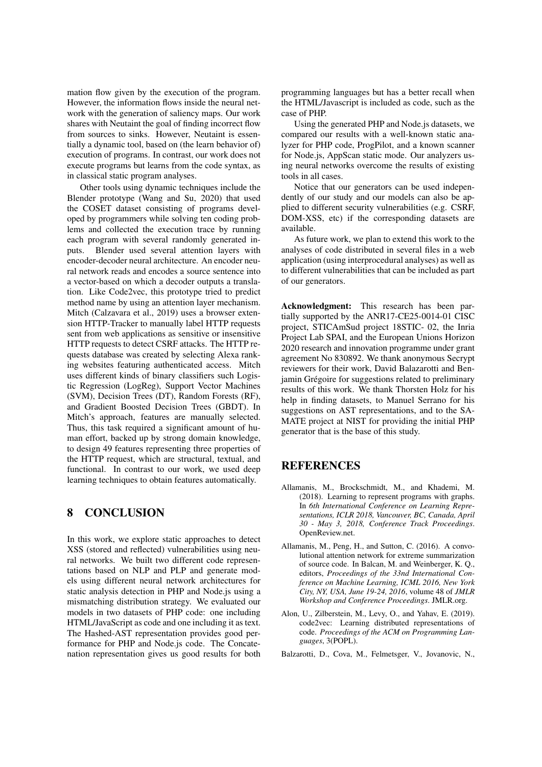mation flow given by the execution of the program. However, the information flows inside the neural network with the generation of saliency maps. Our work shares with Neutaint the goal of finding incorrect flow from sources to sinks. However, Neutaint is essentially a dynamic tool, based on (the learn behavior of) execution of programs. In contrast, our work does not execute programs but learns from the code syntax, as in classical static program analyses.

Other tools using dynamic techniques include the Blender prototype (Wang and Su, 2020) that used the COSET dataset consisting of programs developed by programmers while solving ten coding problems and collected the execution trace by running each program with several randomly generated inputs. Blender used several attention layers with encoder-decoder neural architecture. An encoder neural network reads and encodes a source sentence into a vector-based on which a decoder outputs a translation. Like Code2vec, this prototype tried to predict method name by using an attention layer mechanism. Mitch (Calzavara et al., 2019) uses a browser extension HTTP-Tracker to manually label HTTP requests sent from web applications as sensitive or insensitive HTTP requests to detect CSRF attacks. The HTTP requests database was created by selecting Alexa ranking websites featuring authenticated access. Mitch uses different kinds of binary classifiers such Logistic Regression (LogReg), Support Vector Machines (SVM), Decision Trees (DT), Random Forests (RF), and Gradient Boosted Decision Trees (GBDT). In Mitch's approach, features are manually selected. Thus, this task required a significant amount of human effort, backed up by strong domain knowledge, to design 49 features representing three properties of the HTTP request, which are structural, textual, and functional. In contrast to our work, we used deep learning techniques to obtain features automatically.

## 8 CONCLUSION

In this work, we explore static approaches to detect XSS (stored and reflected) vulnerabilities using neural networks. We built two different code representations based on NLP and PLP and generate models using different neural network architectures for static analysis detection in PHP and Node.js using a mismatching distribution strategy. We evaluated our models in two datasets of PHP code: one including HTML/JavaScript as code and one including it as text. The Hashed-AST representation provides good performance for PHP and Node.js code. The Concatenation representation gives us good results for both programming languages but has a better recall when the HTML/Javascript is included as code, such as the case of PHP.

Using the generated PHP and Node.js datasets, we compared our results with a well-known static analyzer for PHP code, ProgPilot, and a known scanner for Node.js, AppScan static mode. Our analyzers using neural networks overcome the results of existing tools in all cases.

Notice that our generators can be used independently of our study and our models can also be applied to different security vulnerabilities (e.g. CSRF, DOM-XSS, etc) if the corresponding datasets are available.

As future work, we plan to extend this work to the analyses of code distributed in several files in a web application (using interprocedural analyses) as well as to different vulnerabilities that can be included as part of our generators.

Acknowledgment: This research has been partially supported by the ANR17-CE25-0014-01 CISC project, STICAmSud project 18STIC- 02, the Inria Project Lab SPAI, and the European Unions Horizon 2020 research and innovation programme under grant agreement No 830892. We thank anonymous Secrypt reviewers for their work, David Balazarotti and Benjamin Grégoire for suggestions related to preliminary results of this work. We thank Thorsten Holz for his help in finding datasets, to Manuel Serrano for his suggestions on AST representations, and to the SA-MATE project at NIST for providing the initial PHP generator that is the base of this study.

## **REFERENCES**

- Allamanis, M., Brockschmidt, M., and Khademi, M. (2018). Learning to represent programs with graphs. In *6th International Conference on Learning Representations, ICLR 2018, Vancouver, BC, Canada, April 30 - May 3, 2018, Conference Track Proceedings*. OpenReview.net.
- Allamanis, M., Peng, H., and Sutton, C. (2016). A convolutional attention network for extreme summarization of source code. In Balcan, M. and Weinberger, K. Q., editors, *Proceedings of the 33nd International Conference on Machine Learning, ICML 2016, New York City, NY, USA, June 19-24, 2016*, volume 48 of *JMLR Workshop and Conference Proceedings*. JMLR.org.
- Alon, U., Zilberstein, M., Levy, O., and Yahav, E. (2019). code2vec: Learning distributed representations of code. *Proceedings of the ACM on Programming Languages*, 3(POPL).
- Balzarotti, D., Cova, M., Felmetsger, V., Jovanovic, N.,